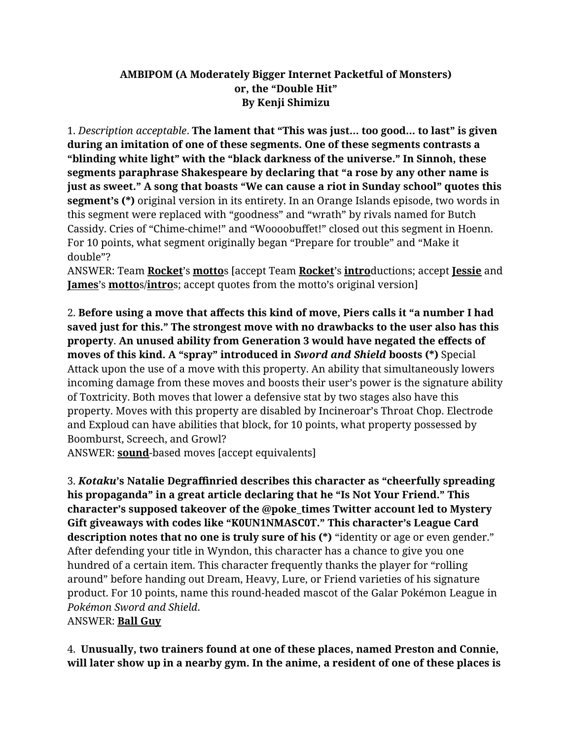## **AMBIPOM (A Moderately Bigger Internet Packetful of Monsters) or, the "Double Hit" By Kenji Shimizu**

1. *Description acceptable*. **The lament that "This was just… too good… to last" is given during an imitation of one of these segments. One of these segments contrasts a "blinding white light" with the "black darkness of the universe." In Sinnoh, these segments paraphrase Shakespeare by declaring that "a rose by any other name is just as sweet." A song that boasts "We can cause a riot in Sunday school" quotes this segment's (\*)** original version in its entirety. In an Orange Islands episode, two words in this segment were replaced with "goodness" and "wrath" by rivals named for Butch Cassidy. Cries of "Chime-chime!" and "Woooobuffet!" closed out this segment in Hoenn. For 10 points, what segment originally began "Prepare for trouble" and "Make it double"?

ANSWER: Team **Rocket**'s **motto**s [accept Team **Rocket**'s **intro**ductions; accept **Jessie** and **James**'s **motto**s/**intro**s; accept quotes from the motto's original version]

2. **Before using a move that affects this kind of move, Piers calls it "a number I had saved just for this." The strongest move with no drawbacks to the user also has this property**. **An unused ability from Generation 3 would have negated the effects of moves of this kind. A "spray" introduced in** *Sword and Shield* **boosts (\*)** Special Attack upon the use of a move with this property. An ability that simultaneously lowers incoming damage from these moves and boosts their user's power is the signature ability of Toxtricity. Both moves that lower a defensive stat by two stages also have this property. Moves with this property are disabled by Incineroar's Throat Chop. Electrode and Exploud can have abilities that block, for 10 points, what property possessed by Boomburst, Screech, and Growl?

ANSWER: **sound**-based moves [accept equivalents]

3. *Kotaku***'s Natalie Degraffinried describes this character as "cheerfully spreading his propaganda" in a great article declaring that he "Is Not Your Friend." This character's supposed takeover of the @poke\_times Twitter account led to Mystery Gift giveaways with codes like "K0UN1NMASC0T." This character's League Card description notes that no one is truly sure of his (\*)** "identity or age or even gender." After defending your title in Wyndon, this character has a chance to give you one hundred of a certain item. This character frequently thanks the player for "rolling around" before handing out Dream, Heavy, Lure, or Friend varieties of his signature product. For 10 points, name this round-headed mascot of the Galar Pokémon League in *Pokémon Sword and Shield*.

ANSWER: **Ball Guy**

4. **Unusually, two trainers found at one of these places, named Preston and Connie, will later show up in a nearby gym. In the anime, a resident of one of these places is**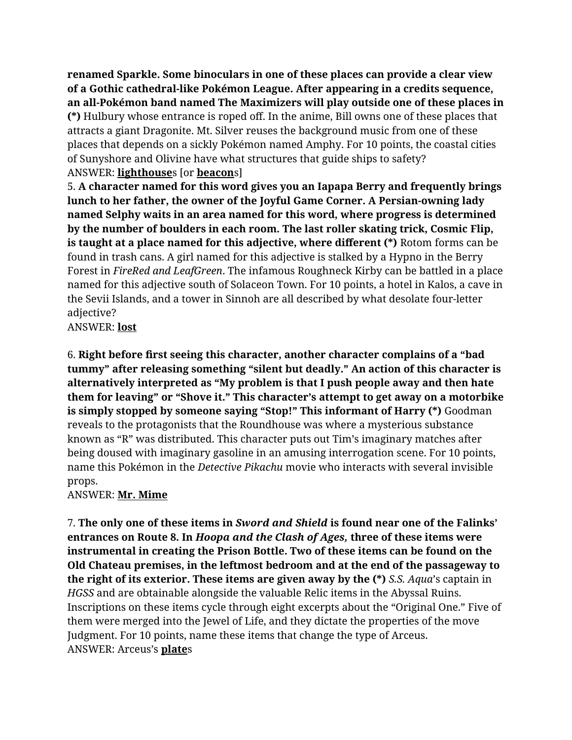**renamed Sparkle. Some binoculars in one of these places can provide a clear view of a Gothic cathedral-like Pokémon League. After appearing in a credits sequence, an all-Pokémon band named The Maximizers will play outside one of these places in (\*)** Hulbury whose entrance is roped off. In the anime, Bill owns one of these places that attracts a giant Dragonite. Mt. Silver reuses the background music from one of these places that depends on a sickly Pokémon named Amphy. For 10 points, the coastal cities of Sunyshore and Olivine have what structures that guide ships to safety? ANSWER: **lighthouse**s [or **beacon**s]

5. **A character named for this word gives you an Iapapa Berry and frequently brings lunch to her father, the owner of the Joyful Game Corner. A Persian-owning lady named Selphy waits in an area named for this word, where progress is determined by the number of boulders in each room. The last roller skating trick, Cosmic Flip, is taught at a place named for this adjective, where different (\*)** Rotom forms can be found in trash cans. A girl named for this adjective is stalked by a Hypno in the Berry Forest in *FireRed and LeafGreen*. The infamous Roughneck Kirby can be battled in a place named for this adjective south of Solaceon Town. For 10 points, a hotel in Kalos, a cave in the Sevii Islands, and a tower in Sinnoh are all described by what desolate four-letter adjective?

ANSWER: **lost**

6. **Right before first seeing this character, another character complains of a "bad tummy" after releasing something "silent but deadly." An action of this character is alternatively interpreted as "My problem is that I push people away and then hate them for leaving" or "Shove it." This character's attempt to get away on a motorbike is simply stopped by someone saying "Stop!" This informant of Harry (\*)** Goodman reveals to the protagonists that the Roundhouse was where a mysterious substance known as "R" was distributed. This character puts out Tim's imaginary matches after being doused with imaginary gasoline in an amusing interrogation scene. For 10 points, name this Pokémon in the *Detective Pikachu* movie who interacts with several invisible props.

## ANSWER: **Mr. Mime**

7. **The only one of these items in** *Sword and Shield* **is found near one of the Falinks' entrances on Route 8. In** *Hoopa and the Clash of Ages,* **three of these items were instrumental in creating the Prison Bottle. Two of these items can be found on the Old Chateau premises, in the leftmost bedroom and at the end of the passageway to the right of its exterior. These items are given away by the (\*)** *S.S. Aqua*'s captain in *HGSS* and are obtainable alongside the valuable Relic items in the Abyssal Ruins. Inscriptions on these items cycle through eight excerpts about the "Original One." Five of them were merged into the Jewel of Life, and they dictate the properties of the move Judgment. For 10 points, name these items that change the type of Arceus. ANSWER: Arceus's **plate**s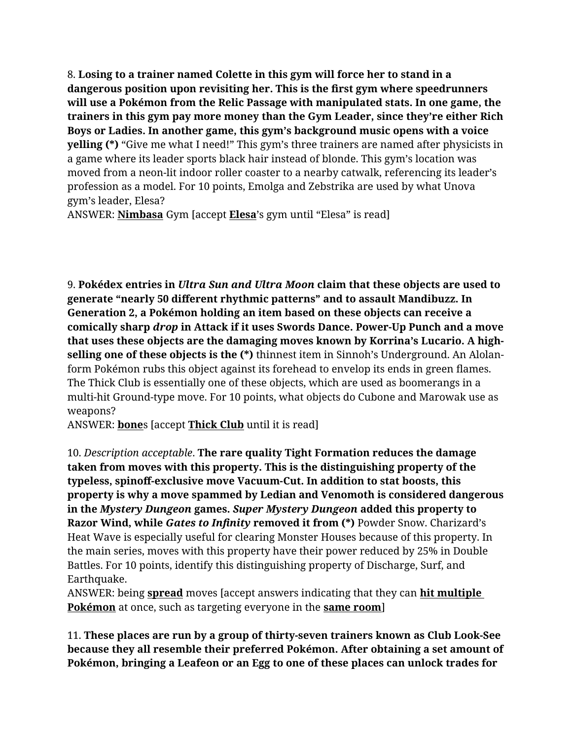8. **Losing to a trainer named Colette in this gym will force her to stand in a dangerous position upon revisiting her. This is the first gym where speedrunners will use a Pokémon from the Relic Passage with manipulated stats. In one game, the trainers in this gym pay more money than the Gym Leader, since they're either Rich Boys or Ladies. In another game, this gym's background music opens with a voice yelling (\*)** "Give me what I need!" This gym's three trainers are named after physicists in a game where its leader sports black hair instead of blonde. This gym's location was moved from a neon-lit indoor roller coaster to a nearby catwalk, referencing its leader's profession as a model. For 10 points, Emolga and Zebstrika are used by what Unova gym's leader, Elesa?

ANSWER: **Nimbasa** Gym [accept **Elesa**'s gym until "Elesa" is read]

9. **Pokédex entries in** *Ultra Sun and Ultra Moon* **claim that these objects are used to generate "nearly 50 different rhythmic patterns" and to assault Mandibuzz. In Generation 2, a Pokémon holding an item based on these objects can receive a comically sharp** *drop* **in Attack if it uses Swords Dance. Power-Up Punch and a move that uses these objects are the damaging moves known by Korrina's Lucario. A highselling one of these objects is the (\*)** thinnest item in Sinnoh's Underground. An Alolanform Pokémon rubs this object against its forehead to envelop its ends in green flames. The Thick Club is essentially one of these objects, which are used as boomerangs in a multi-hit Ground-type move. For 10 points, what objects do Cubone and Marowak use as weapons?

ANSWER: **bone**s [accept **Thick Club** until it is read]

10. *Description acceptable*. **The rare quality Tight Formation reduces the damage taken from moves with this property. This is the distinguishing property of the typeless, spinoff-exclusive move Vacuum-Cut. In addition to stat boosts, this property is why a move spammed by Ledian and Venomoth is considered dangerous in the** *Mystery Dungeon* **games.** *Super Mystery Dungeon* **added this property to Razor Wind, while** *Gates to Infinity* **removed it from (\*)** Powder Snow. Charizard's Heat Wave is especially useful for clearing Monster Houses because of this property. In the main series, moves with this property have their power reduced by 25% in Double Battles. For 10 points, identify this distinguishing property of Discharge, Surf, and Earthquake.

ANSWER: being **spread** moves [accept answers indicating that they can **hit multiple Pokémon** at once, such as targeting everyone in the **same room**]

11. **These places are run by a group of thirty-seven trainers known as Club Look-See because they all resemble their preferred Pokémon. After obtaining a set amount of Pokémon, bringing a Leafeon or an Egg to one of these places can unlock trades for**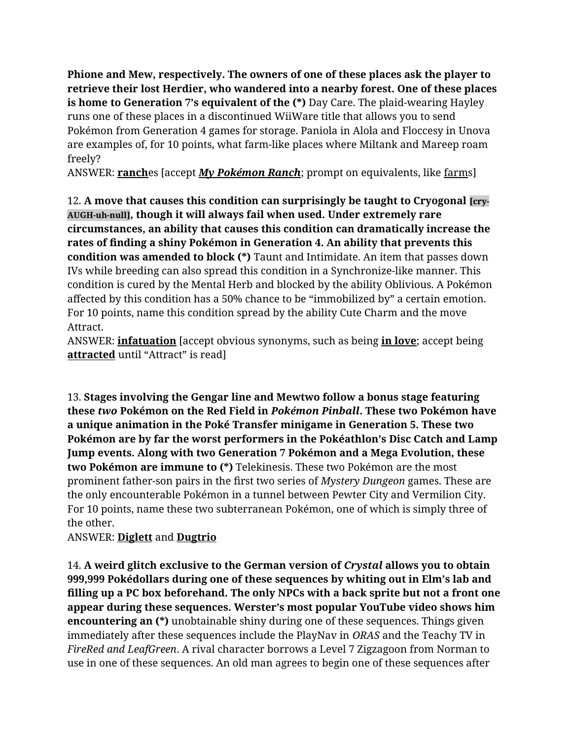**Phione and Mew, respectively. The owners of one of these places ask the player to retrieve their lost Herdier, who wandered into a nearby forest. One of these places is home to Generation 7's equivalent of the (\*)** Day Care. The plaid-wearing Hayley runs one of these places in a discontinued WiiWare title that allows you to send Pokémon from Generation 4 games for storage. Paniola in Alola and Floccesy in Unova are examples of, for 10 points, what farm-like places where Miltank and Mareep roam freely?

ANSWER: **ranch**es [accept *My Pokémon Ranch*; prompt on equivalents, like farms]

12. **A move that causes this condition can surprisingly be taught to Cryogonal [cry-AUGH-uh-null], though it will always fail when used. Under extremely rare circumstances, an ability that causes this condition can dramatically increase the rates of finding a shiny Pokémon in Generation 4. An ability that prevents this condition was amended to block (\*)** Taunt and Intimidate. An item that passes down IVs while breeding can also spread this condition in a Synchronize-like manner. This condition is cured by the Mental Herb and blocked by the ability Oblivious. A Pokémon affected by this condition has a 50% chance to be "immobilized by" a certain emotion. For 10 points, name this condition spread by the ability Cute Charm and the move Attract.

ANSWER: **infatuation** [accept obvious synonyms, such as being **in love**; accept being **attracted** until "Attract" is read]

13. **Stages involving the Gengar line and Mewtwo follow a bonus stage featuring these** *two* **Pokémon on the Red Field in** *Pokémon Pinball***. These two Pokémon have a unique animation in the Poké Transfer minigame in Generation 5. These two Pokémon are by far the worst performers in the Pokéathlon's Disc Catch and Lamp Jump events. Along with two Generation 7 Pokémon and a Mega Evolution, these two Pokémon are immune to (\*)** Telekinesis. These two Pokémon are the most prominent father-son pairs in the first two series of *Mystery Dungeon* games. These are the only encounterable Pokémon in a tunnel between Pewter City and Vermilion City. For 10 points, name these two subterranean Pokémon, one of which is simply three of the other.

ANSWER: **Diglett** and **Dugtrio**

14. **A weird glitch exclusive to the German version of** *Crystal* **allows you to obtain 999,999 Pokédollars during one of these sequences by whiting out in Elm's lab and filling up a PC box beforehand. The only NPCs with a back sprite but not a front one appear during these sequences. Werster's most popular YouTube video shows him encountering an (\*)** unobtainable shiny during one of these sequences. Things given immediately after these sequences include the PlayNav in *ORAS* and the Teachy TV in *FireRed and LeafGreen*. A rival character borrows a Level 7 Zigzagoon from Norman to use in one of these sequences. An old man agrees to begin one of these sequences after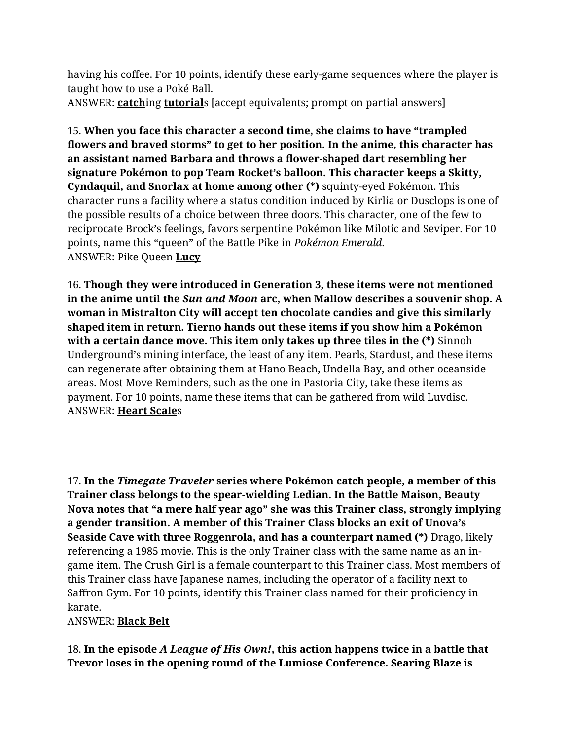having his coffee. For 10 points, identify these early-game sequences where the player is taught how to use a Poké Ball. ANSWER: **catch**ing **tutorial**s [accept equivalents; prompt on partial answers]

15. **When you face this character a second time, she claims to have "trampled flowers and braved storms" to get to her position. In the anime, this character has an assistant named Barbara and throws a flower-shaped dart resembling her signature Pokémon to pop Team Rocket's balloon. This character keeps a Skitty, Cyndaquil, and Snorlax at home among other (\*)** squinty-eyed Pokémon. This character runs a facility where a status condition induced by Kirlia or Dusclops is one of the possible results of a choice between three doors. This character, one of the few to reciprocate Brock's feelings, favors serpentine Pokémon like Milotic and Seviper. For 10 points, name this "queen" of the Battle Pike in *Pokémon Emerald*. ANSWER: Pike Queen **Lucy**

16. **Though they were introduced in Generation 3, these items were not mentioned in the anime until the** *Sun and Moon* **arc, when Mallow describes a souvenir shop. A woman in Mistralton City will accept ten chocolate candies and give this similarly shaped item in return. Tierno hands out these items if you show him a Pokémon with a certain dance move. This item only takes up three tiles in the (\*)** Sinnoh Underground's mining interface, the least of any item. Pearls, Stardust, and these items can regenerate after obtaining them at Hano Beach, Undella Bay, and other oceanside areas. Most Move Reminders, such as the one in Pastoria City, take these items as payment. For 10 points, name these items that can be gathered from wild Luvdisc. ANSWER: **Heart Scale**s

17. **In the** *Timegate Traveler* **series where Pokémon catch people, a member of this Trainer class belongs to the spear-wielding Ledian. In the Battle Maison, Beauty Nova notes that "a mere half year ago" she was this Trainer class, strongly implying a gender transition. A member of this Trainer Class blocks an exit of Unova's Seaside Cave with three Roggenrola, and has a counterpart named (\*)** Drago, likely referencing a 1985 movie. This is the only Trainer class with the same name as an ingame item. The Crush Girl is a female counterpart to this Trainer class. Most members of this Trainer class have Japanese names, including the operator of a facility next to Saffron Gym. For 10 points, identify this Trainer class named for their proficiency in karate.

## ANSWER: **Black Belt**

18. **In the episode** *A League of His Own!***, this action happens twice in a battle that Trevor loses in the opening round of the Lumiose Conference. Searing Blaze is**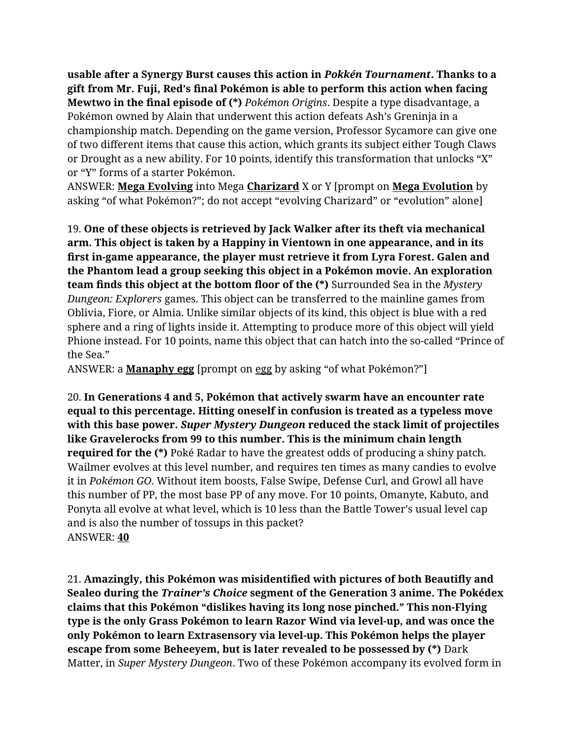**usable after a Synergy Burst causes this action in** *Pokkén Tournament***. Thanks to a gift from Mr. Fuji, Red's final Pokémon is able to perform this action when facing Mewtwo in the final episode of (\*)** *Pokémon Origins*. Despite a type disadvantage, a Pokémon owned by Alain that underwent this action defeats Ash's Greninja in a championship match. Depending on the game version, Professor Sycamore can give one of two different items that cause this action, which grants its subject either Tough Claws or Drought as a new ability. For 10 points, identify this transformation that unlocks "X" or "Y" forms of a starter Pokémon.

ANSWER: **Mega Evolving** into Mega **Charizard** X or Y [prompt on **Mega Evolution** by asking "of what Pokémon?"; do not accept "evolving Charizard" or "evolution" alone]

19. **One of these objects is retrieved by Jack Walker after its theft via mechanical arm. This object is taken by a Happiny in Vientown in one appearance, and in its first in-game appearance, the player must retrieve it from Lyra Forest. Galen and the Phantom lead a group seeking this object in a Pokémon movie. An exploration team finds this object at the bottom floor of the (\*)** Surrounded Sea in the *Mystery Dungeon: Explorers* games. This object can be transferred to the mainline games from Oblivia, Fiore, or Almia. Unlike similar objects of its kind, this object is blue with a red sphere and a ring of lights inside it. Attempting to produce more of this object will yield Phione instead. For 10 points, name this object that can hatch into the so-called "Prince of the Sea."

ANSWER: a **Manaphy egg** [prompt on egg by asking "of what Pokémon?"]

20. **In Generations 4 and 5, Pokémon that actively swarm have an encounter rate equal to this percentage. Hitting oneself in confusion is treated as a typeless move with this base power.** *Super Mystery Dungeon* **reduced the stack limit of projectiles like Gravelerocks from 99 to this number. This is the minimum chain length required for the (\*)** Poké Radar to have the greatest odds of producing a shiny patch. Wailmer evolves at this level number, and requires ten times as many candies to evolve it in *Pokémon GO*. Without item boosts, False Swipe, Defense Curl, and Growl all have this number of PP, the most base PP of any move. For 10 points, Omanyte, Kabuto, and Ponyta all evolve at what level, which is 10 less than the Battle Tower's usual level cap and is also the number of tossups in this packet? ANSWER: **40**

21. **Amazingly, this Pokémon was misidentified with pictures of both Beautifly and Sealeo during the** *Trainer's Choice* **segment of the Generation 3 anime. The Pokédex claims that this Pokémon "dislikes having its long nose pinched." This non-Flying type is the only Grass Pokémon to learn Razor Wind via level-up, and was once the only Pokémon to learn Extrasensory via level-up. This Pokémon helps the player escape from some Beheeyem, but is later revealed to be possessed by (\*)** Dark Matter, in *Super Mystery Dungeon*. Two of these Pokémon accompany its evolved form in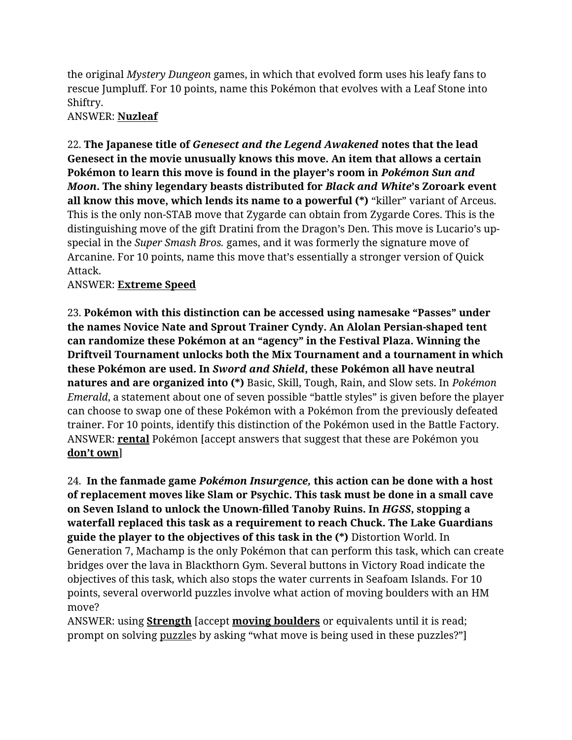the original *Mystery Dungeon* games, in which that evolved form uses his leafy fans to rescue Jumpluff. For 10 points, name this Pokémon that evolves with a Leaf Stone into Shiftry.

ANSWER: **Nuzleaf**

22. **The Japanese title of** *Genesect and the Legend Awakened* **notes that the lead Genesect in the movie unusually knows this move. An item that allows a certain Pokémon to learn this move is found in the player's room in** *Pokémon Sun and Moon***. The shiny legendary beasts distributed for** *Black and White***'s Zoroark event all know this move, which lends its name to a powerful (\*)** "killer" variant of Arceus. This is the only non-STAB move that Zygarde can obtain from Zygarde Cores. This is the distinguishing move of the gift Dratini from the Dragon's Den. This move is Lucario's upspecial in the *Super Smash Bros.* games, and it was formerly the signature move of Arcanine. For 10 points, name this move that's essentially a stronger version of Quick Attack.

ANSWER: **Extreme Speed**

23. **Pokémon with this distinction can be accessed using namesake "Passes" under the names Novice Nate and Sprout Trainer Cyndy. An Alolan Persian-shaped tent can randomize these Pokémon at an "agency" in the Festival Plaza. Winning the Driftveil Tournament unlocks both the Mix Tournament and a tournament in which these Pokémon are used. In** *Sword and Shield***, these Pokémon all have neutral natures and are organized into (\*)** Basic, Skill, Tough, Rain, and Slow sets. In *Pokémon Emerald*, a statement about one of seven possible "battle styles" is given before the player can choose to swap one of these Pokémon with a Pokémon from the previously defeated trainer. For 10 points, identify this distinction of the Pokémon used in the Battle Factory. ANSWER: **rental** Pokémon [accept answers that suggest that these are Pokémon you **don't own**]

24. **In the fanmade game** *Pokémon Insurgence,* **this action can be done with a host of replacement moves like Slam or Psychic. This task must be done in a small cave on Seven Island to unlock the Unown-filled Tanoby Ruins. In** *HGSS***, stopping a waterfall replaced this task as a requirement to reach Chuck. The Lake Guardians guide the player to the objectives of this task in the (\*)** Distortion World. In Generation 7, Machamp is the only Pokémon that can perform this task, which can create bridges over the lava in Blackthorn Gym. Several buttons in Victory Road indicate the objectives of this task, which also stops the water currents in Seafoam Islands. For 10 points, several overworld puzzles involve what action of moving boulders with an HM move?

ANSWER: using **Strength** [accept **moving boulders** or equivalents until it is read; prompt on solving puzzles by asking "what move is being used in these puzzles?"]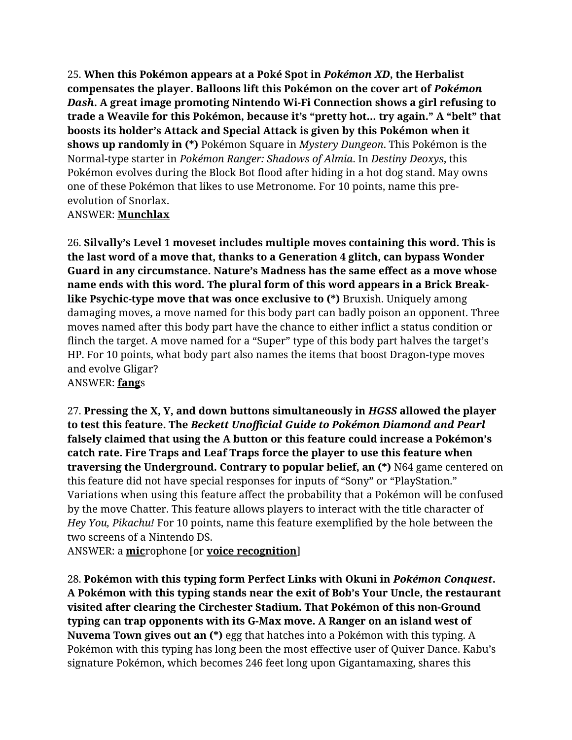25. **When this Pokémon appears at a Poké Spot in** *Pokémon XD***, the Herbalist compensates the player. Balloons lift this Pokémon on the cover art of** *Pokémon Dash***. A great image promoting Nintendo Wi-Fi Connection shows a girl refusing to trade a Weavile for this Pokémon, because it's "pretty hot… try again." A "belt" that boosts its holder's Attack and Special Attack is given by this Pokémon when it shows up randomly in (\*)** Pokémon Square in *Mystery Dungeon*. This Pokémon is the Normal-type starter in *Pokémon Ranger: Shadows of Almia*. In *Destiny Deoxys*, this Pokémon evolves during the Block Bot flood after hiding in a hot dog stand. May owns one of these Pokémon that likes to use Metronome. For 10 points, name this preevolution of Snorlax.

## ANSWER: **Munchlax**

26. **Silvally's Level 1 moveset includes multiple moves containing this word. This is the last word of a move that, thanks to a Generation 4 glitch, can bypass Wonder Guard in any circumstance. Nature's Madness has the same effect as a move whose name ends with this word. The plural form of this word appears in a Brick Breaklike Psychic-type move that was once exclusive to (\*)** Bruxish. Uniquely among damaging moves, a move named for this body part can badly poison an opponent. Three moves named after this body part have the chance to either inflict a status condition or flinch the target. A move named for a "Super" type of this body part halves the target's HP. For 10 points, what body part also names the items that boost Dragon-type moves and evolve Gligar? ANSWER: **fang**s

27. **Pressing the X, Y, and down buttons simultaneously in** *HGSS* **allowed the player to test this feature. The** *Beckett Unofficial Guide to Pokémon Diamond and Pearl*  **falsely claimed that using the A button or this feature could increase a Pokémon's catch rate. Fire Traps and Leaf Traps force the player to use this feature when traversing the Underground. Contrary to popular belief, an (\*)** N64 game centered on this feature did not have special responses for inputs of "Sony" or "PlayStation." Variations when using this feature affect the probability that a Pokémon will be confused by the move Chatter. This feature allows players to interact with the title character of *Hey You, Pikachu!* For 10 points, name this feature exemplified by the hole between the two screens of a Nintendo DS.

ANSWER: a **mic**rophone [or **voice recognition**]

28. **Pokémon with this typing form Perfect Links with Okuni in** *Pokémon Conquest***. A Pokémon with this typing stands near the exit of Bob's Your Uncle, the restaurant visited after clearing the Circhester Stadium. That Pokémon of this non-Ground typing can trap opponents with its G-Max move. A Ranger on an island west of Nuvema Town gives out an (\*)** egg that hatches into a Pokémon with this typing. A Pokémon with this typing has long been the most effective user of Quiver Dance. Kabu's signature Pokémon, which becomes 246 feet long upon Gigantamaxing, shares this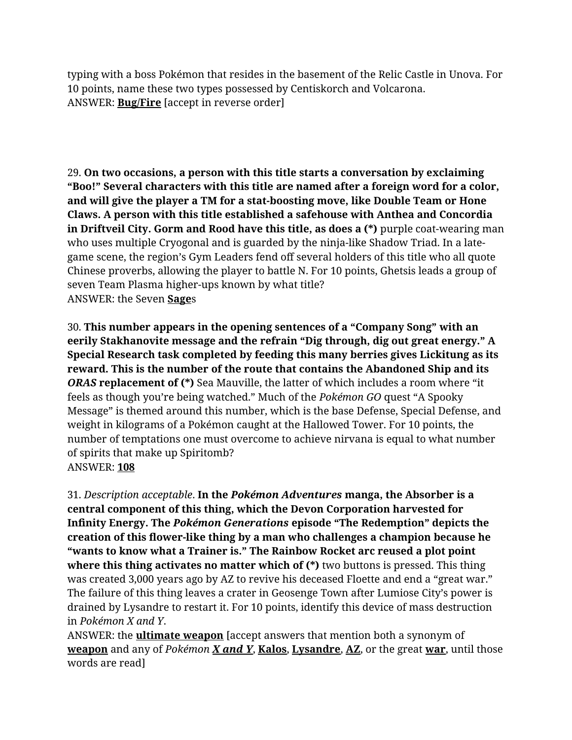typing with a boss Pokémon that resides in the basement of the Relic Castle in Unova. For 10 points, name these two types possessed by Centiskorch and Volcarona. ANSWER: **Bug/Fire** [accept in reverse order]

29. **On two occasions, a person with this title starts a conversation by exclaiming "Boo!" Several characters with this title are named after a foreign word for a color, and will give the player a TM for a stat-boosting move, like Double Team or Hone Claws. A person with this title established a safehouse with Anthea and Concordia in Driftveil City. Gorm and Rood have this title, as does a (\*)** purple coat-wearing man who uses multiple Cryogonal and is guarded by the ninja-like Shadow Triad. In a lategame scene, the region's Gym Leaders fend off several holders of this title who all quote Chinese proverbs, allowing the player to battle N. For 10 points, Ghetsis leads a group of seven Team Plasma higher-ups known by what title? ANSWER: the Seven **Sage**s

30. **This number appears in the opening sentences of a "Company Song" with an eerily Stakhanovite message and the refrain "Dig through, dig out great energy." A Special Research task completed by feeding this many berries gives Lickitung as its reward. This is the number of the route that contains the Abandoned Ship and its**  *ORAS* **replacement of (\*)** Sea Mauville, the latter of which includes a room where "it feels as though you're being watched." Much of the *Pokémon GO* quest "A Spooky Message" is themed around this number, which is the base Defense, Special Defense, and weight in kilograms of a Pokémon caught at the Hallowed Tower. For 10 points, the number of temptations one must overcome to achieve nirvana is equal to what number of spirits that make up Spiritomb? ANSWER: **108**

31. *Description acceptable*. **In the** *Pokémon Adventures* **manga, the Absorber is a central component of this thing, which the Devon Corporation harvested for Infinity Energy. The** *Pokémon Generations* **episode "The Redemption" depicts the creation of this flower-like thing by a man who challenges a champion because he "wants to know what a Trainer is." The Rainbow Rocket arc reused a plot point where this thing activates no matter which of (\*)** two buttons is pressed. This thing was created 3,000 years ago by AZ to revive his deceased Floette and end a "great war." The failure of this thing leaves a crater in Geosenge Town after Lumiose City's power is drained by Lysandre to restart it. For 10 points, identify this device of mass destruction in *Pokémon X and Y*.

ANSWER: the **ultimate weapon** [accept answers that mention both a synonym of **weapon** and any of *Pokémon X and Y*, **Kalos**, **Lysandre**, **AZ**, or the great **war**, until those words are read]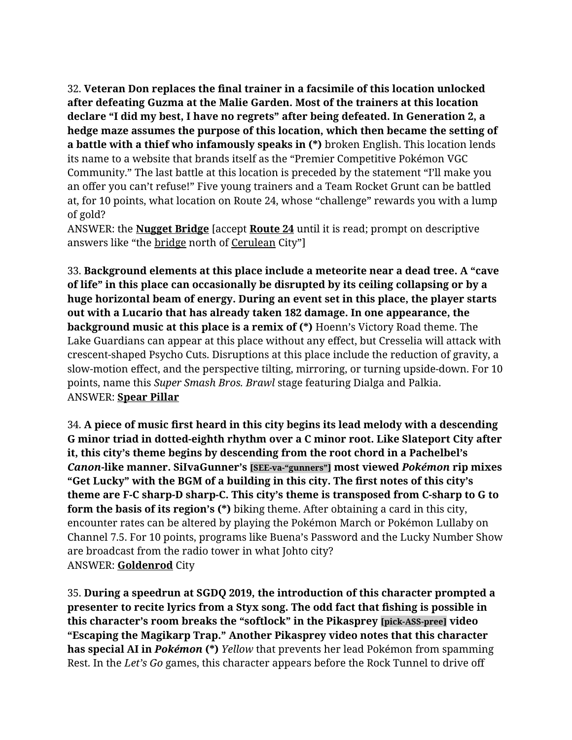32. **Veteran Don replaces the final trainer in a facsimile of this location unlocked after defeating Guzma at the Malie Garden. Most of the trainers at this location declare "I did my best, I have no regrets" after being defeated. In Generation 2, a hedge maze assumes the purpose of this location, which then became the setting of a battle with a thief who infamously speaks in (\*)** broken English. This location lends its name to a website that brands itself as the "Premier Competitive Pokémon VGC Community." The last battle at this location is preceded by the statement "I'll make you an offer you can't refuse!" Five young trainers and a Team Rocket Grunt can be battled at, for 10 points, what location on Route 24, whose "challenge" rewards you with a lump of gold?

ANSWER: the **Nugget Bridge** [accept **Route 24** until it is read; prompt on descriptive answers like "the bridge north of Cerulean City"]

33. **Background elements at this place include a meteorite near a dead tree. A "cave of life" in this place can occasionally be disrupted by its ceiling collapsing or by a huge horizontal beam of energy. During an event set in this place, the player starts out with a Lucario that has already taken 182 damage. In one appearance, the background music at this place is a remix of (\*)** Hoenn's Victory Road theme. The Lake Guardians can appear at this place without any effect, but Cresselia will attack with crescent-shaped Psycho Cuts. Disruptions at this place include the reduction of gravity, a slow-motion effect, and the perspective tilting, mirroring, or turning upside-down. For 10 points, name this *Super Smash Bros. Brawl* stage featuring Dialga and Palkia. ANSWER: **Spear Pillar**

34. **A piece of music first heard in this city begins its lead melody with a descending G minor triad in dotted-eighth rhythm over a C minor root. Like Slateport City after it, this city's theme begins by descending from the root chord in a Pachelbel's**  *Canon***-like manner. SiIvaGunner's [SEE-va-"gunners"] most viewed** *Pokémon* **rip mixes "Get Lucky" with the BGM of a building in this city. The first notes of this city's theme are F-C sharp-D sharp-C. This city's theme is transposed from C-sharp to G to form the basis of its region's (\*)** biking theme. After obtaining a card in this city, encounter rates can be altered by playing the Pokémon March or Pokémon Lullaby on Channel 7.5. For 10 points, programs like Buena's Password and the Lucky Number Show are broadcast from the radio tower in what Johto city? ANSWER: **Goldenrod** City

35. **During a speedrun at SGDQ 2019, the introduction of this character prompted a presenter to recite lyrics from a Styx song. The odd fact that fishing is possible in this character's room breaks the "softlock" in the Pikasprey [pick-ASS-pree] video "Escaping the Magikarp Trap." Another Pikasprey video notes that this character has special AI in** *Pokémon* **(\*)** *Yellow* that prevents her lead Pokémon from spamming Rest. In the *Let's Go* games, this character appears before the Rock Tunnel to drive off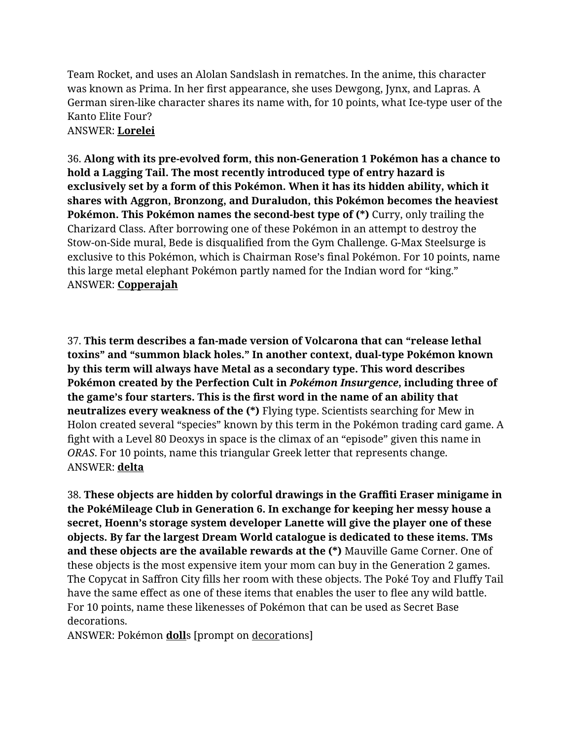Team Rocket, and uses an Alolan Sandslash in rematches. In the anime, this character was known as Prima. In her first appearance, she uses Dewgong, Jynx, and Lapras. A German siren-like character shares its name with, for 10 points, what Ice-type user of the Kanto Elite Four? ANSWER: **Lorelei**

36. **Along with its pre-evolved form, this non-Generation 1 Pokémon has a chance to hold a Lagging Tail. The most recently introduced type of entry hazard is exclusively set by a form of this Pokémon. When it has its hidden ability, which it shares with Aggron, Bronzong, and Duraludon, this Pokémon becomes the heaviest Pokémon. This Pokémon names the second-best type of (\*)** Curry, only trailing the Charizard Class. After borrowing one of these Pokémon in an attempt to destroy the Stow-on-Side mural, Bede is disqualified from the Gym Challenge. G-Max Steelsurge is exclusive to this Pokémon, which is Chairman Rose's final Pokémon. For 10 points, name this large metal elephant Pokémon partly named for the Indian word for "king." ANSWER: **Copperajah**

37. **This term describes a fan-made version of Volcarona that can "release lethal toxins" and "summon black holes." In another context, dual-type Pokémon known by this term will always have Metal as a secondary type. This word describes Pokémon created by the Perfection Cult in** *Pokémon Insurgence***, including three of the game's four starters. This is the first word in the name of an ability that neutralizes every weakness of the (\*)** Flying type. Scientists searching for Mew in Holon created several "species" known by this term in the Pokémon trading card game. A fight with a Level 80 Deoxys in space is the climax of an "episode" given this name in *ORAS*. For 10 points, name this triangular Greek letter that represents change. ANSWER: **delta**

38. **These objects are hidden by colorful drawings in the Graffiti Eraser minigame in the PokéMileage Club in Generation 6. In exchange for keeping her messy house a secret, Hoenn's storage system developer Lanette will give the player one of these objects. By far the largest Dream World catalogue is dedicated to these items. TMs and these objects are the available rewards at the (\*)** Mauville Game Corner. One of these objects is the most expensive item your mom can buy in the Generation 2 games. The Copycat in Saffron City fills her room with these objects. The Poké Toy and Fluffy Tail have the same effect as one of these items that enables the user to flee any wild battle. For 10 points, name these likenesses of Pokémon that can be used as Secret Base decorations.

ANSWER: Pokémon **doll**s [prompt on decorations]